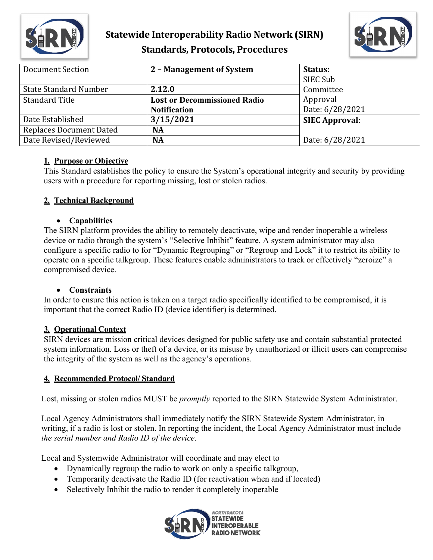

## **Statewide Interoperability Radio Network (SIRN) Standards, Protocols, Procedures**



| Document Section               | 2 - Management of System            | Status:               |
|--------------------------------|-------------------------------------|-----------------------|
|                                |                                     | SIEC Sub              |
| <b>State Standard Number</b>   | 2.12.0                              | Committee             |
| <b>Standard Title</b>          | <b>Lost or Decommissioned Radio</b> | Approval              |
|                                | <b>Notification</b>                 | Date: 6/28/2021       |
| Date Established               | 3/15/2021                           | <b>SIEC Approval:</b> |
| <b>Replaces Document Dated</b> | NA                                  |                       |
| Date Revised/Reviewed          | <b>NA</b>                           | Date: 6/28/2021       |

## **1. Purpose or Objective**

This Standard establishes the policy to ensure the System's operational integrity and security by providing users with a procedure for reporting missing, lost or stolen radios.

## **2. Technical Background**

## • **Capabilities**

The SIRN platform provides the ability to remotely deactivate, wipe and render inoperable a wireless device or radio through the system's "Selective Inhibit" feature. A system administrator may also configure a specific radio to for "Dynamic Regrouping" or "Regroup and Lock" it to restrict its ability to operate on a specific talkgroup. These features enable administrators to track or effectively "zeroize" a compromised device.

#### • **Constraints**

In order to ensure this action is taken on a target radio specifically identified to be compromised, it is important that the correct Radio ID (device identifier) is determined.

## **3. Operational Context**

SIRN devices are mission critical devices designed for public safety use and contain substantial protected system information. Loss or theft of a device, or its misuse by unauthorized or illicit users can compromise the integrity of the system as well as the agency's operations.

## **4. Recommended Protocol/ Standard**

Lost, missing or stolen radios MUST be *promptly* reported to the SIRN Statewide System Administrator.

Local Agency Administrators shall immediately notify the SIRN Statewide System Administrator, in writing, if a radio is lost or stolen. In reporting the incident, the Local Agency Administrator must include *the serial number and Radio ID of the device*.

Local and Systemwide Administrator will coordinate and may elect to

- Dynamically regroup the radio to work on only a specific talkgroup,
- Temporarily deactivate the Radio ID (for reactivation when and if located)
- Selectively Inhibit the radio to render it completely inoperable